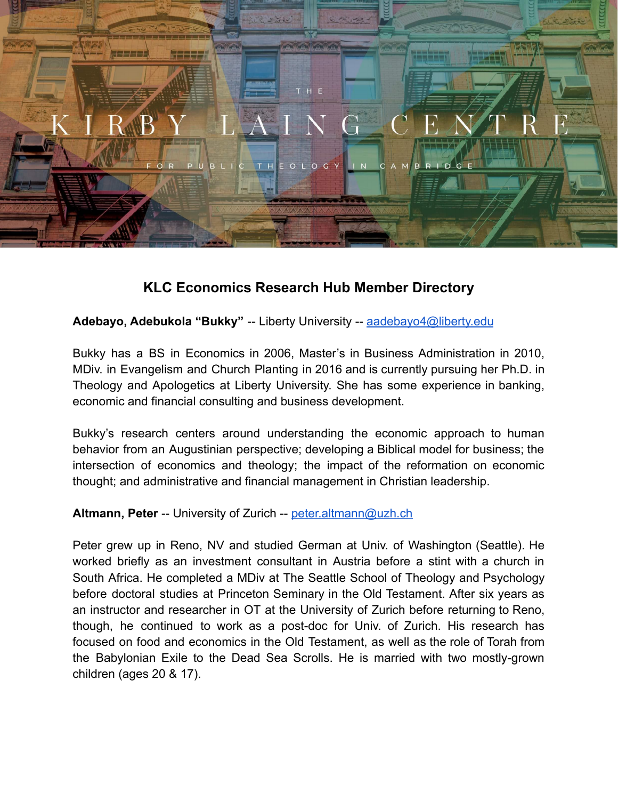

# **KLC Economics Research Hub Member Directory**

**Adebayo, Adebukola "Bukky"** -- Liberty University -- [aadebayo4@liberty.edu](mailto:aadebayo4@liberty.edu)

Bukky has a BS in Economics in 2006, Master's in Business Administration in 2010, MDiv. in Evangelism and Church Planting in 2016 and is currently pursuing her Ph.D. in Theology and Apologetics at Liberty University. She has some experience in banking, economic and financial consulting and business development.

Bukky's research centers around understanding the economic approach to human behavior from an Augustinian perspective; developing a Biblical model for business; the intersection of economics and theology; the impact of the reformation on economic thought; and administrative and financial management in Christian leadership.

**Altmann, Peter** -- University of Zurich -- [peter.altmann@uzh.ch](mailto:peter.altmann@uzh.ch)

Peter grew up in Reno, NV and studied German at Univ. of Washington (Seattle). He worked briefly as an investment consultant in Austria before a stint with a church in South Africa. He completed a MDiv at The Seattle School of Theology and Psychology before doctoral studies at Princeton Seminary in the Old Testament. After six years as an instructor and researcher in OT at the University of Zurich before returning to Reno, though, he continued to work as a post-doc for Univ. of Zurich. His research has focused on food and economics in the Old Testament, as well as the role of Torah from the Babylonian Exile to the Dead Sea Scrolls. He is married with two mostly-grown children (ages 20 & 17).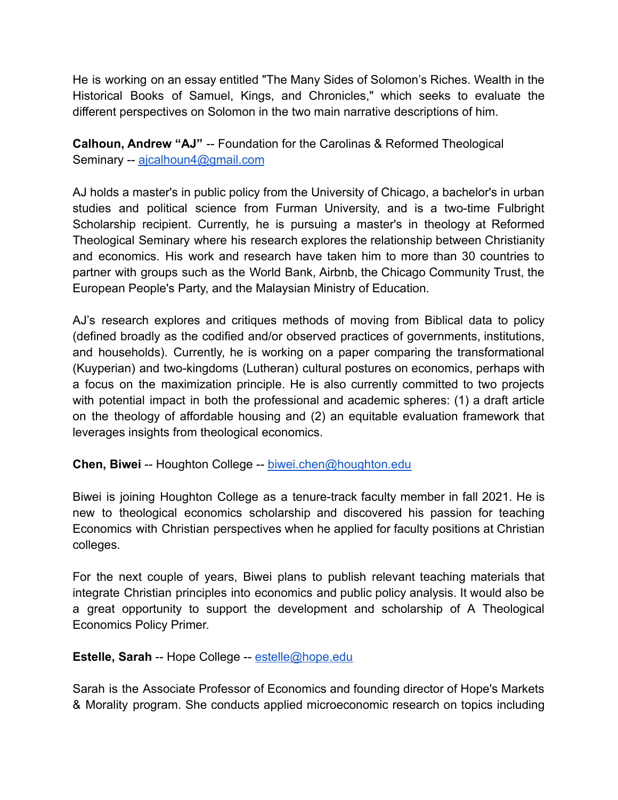He is working on an essay entitled "The Many Sides of Solomon's Riches. Wealth in the Historical Books of Samuel, Kings, and Chronicles," which seeks to evaluate the different perspectives on Solomon in the two main narrative descriptions of him.

**Calhoun, Andrew "AJ"** -- Foundation for the Carolinas & Reformed Theological Seminary -- [ajcalhoun4@gmail.com](mailto:ajcalhoun4@gmail.com)

AJ holds a master's in public policy from the University of Chicago, a bachelor's in urban studies and political science from Furman University, and is a two-time Fulbright Scholarship recipient. Currently, he is pursuing a master's in theology at Reformed Theological Seminary where his research explores the relationship between Christianity and economics. His work and research have taken him to more than 30 countries to partner with groups such as the World Bank, Airbnb, the Chicago Community Trust, the European People's Party, and the Malaysian Ministry of Education.

AJ's research explores and critiques methods of moving from Biblical data to policy (defined broadly as the codified and/or observed practices of governments, institutions, and households). Currently, he is working on a paper comparing the transformational (Kuyperian) and two-kingdoms (Lutheran) cultural postures on economics, perhaps with a focus on the maximization principle. He is also currently committed to two projects with potential impact in both the professional and academic spheres: (1) a draft article on the theology of affordable housing and (2) an equitable evaluation framework that leverages insights from theological economics.

**Chen, Biwei** -- Houghton College -- [biwei.chen@houghton.edu](mailto:biwei.chen@houghton.edu)

Biwei is joining Houghton College as a tenure-track faculty member in fall 2021. He is new to theological economics scholarship and discovered his passion for teaching Economics with Christian perspectives when he applied for faculty positions at Christian colleges.

For the next couple of years, Biwei plans to publish relevant teaching materials that integrate Christian principles into economics and public policy analysis. It would also be a great opportunity to support the development and scholarship of A Theological Economics Policy Primer.

## **Estelle, Sarah** -- Hope College -- [estelle@hope.edu](mailto:estelle@hope.edu)

Sarah is the Associate Professor of Economics and founding director of Hope's Markets & Morality program. She conducts applied microeconomic research on topics including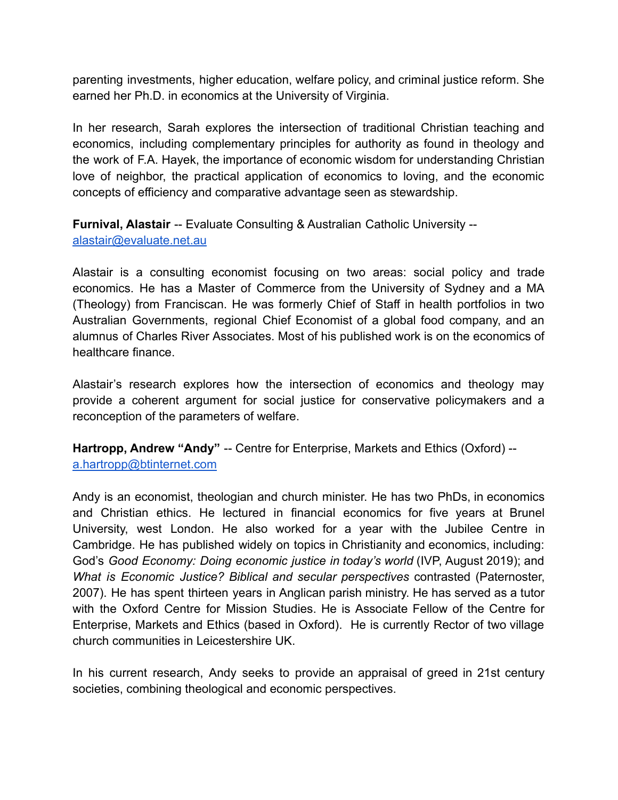parenting investments, higher education, welfare policy, and criminal justice reform. She earned her Ph.D. in economics at the University of Virginia.

In her research, Sarah explores the intersection of traditional Christian teaching and economics, including complementary principles for authority as found in theology and the work of F.A. Hayek, the importance of economic wisdom for understanding Christian love of neighbor, the practical application of economics to loving, and the economic concepts of efficiency and comparative advantage seen as stewardship.

**Furnival, Alastair** -- Evaluate Consulting & Australian Catholic University - [alastair@evaluate.net.au](mailto:alastair@evaluate.net.au)

Alastair is a consulting economist focusing on two areas: social policy and trade economics. He has a Master of Commerce from the University of Sydney and a MA (Theology) from Franciscan. He was formerly Chief of Staff in health portfolios in two Australian Governments, regional Chief Economist of a global food company, and an alumnus of Charles River Associates. Most of his published work is on the economics of healthcare finance.

Alastair's research explores how the intersection of economics and theology may provide a coherent argument for social justice for conservative policymakers and a reconception of the parameters of welfare.

**Hartropp, Andrew "Andy"** -- Centre for Enterprise, Markets and Ethics (Oxford) - [a.hartropp@btinternet.com](mailto:a.hartropp@btinternet.com)

Andy is an economist, theologian and church minister. He has two PhDs, in economics and Christian ethics. He lectured in financial economics for five years at Brunel University, west London. He also worked for a year with the Jubilee Centre in Cambridge. He has published widely on topics in Christianity and economics, including: God's *Good Economy: Doing economic justice in today's world* (IVP, August 2019); and *What is Economic Justice? Biblical and secular perspectives* contrasted (Paternoster, 2007). He has spent thirteen years in Anglican parish ministry. He has served as a tutor with the Oxford Centre for Mission Studies. He is Associate Fellow of the Centre for Enterprise, Markets and Ethics (based in Oxford). He is currently Rector of two village church communities in Leicestershire UK.

In his current research, Andy seeks to provide an appraisal of greed in 21st century societies, combining theological and economic perspectives.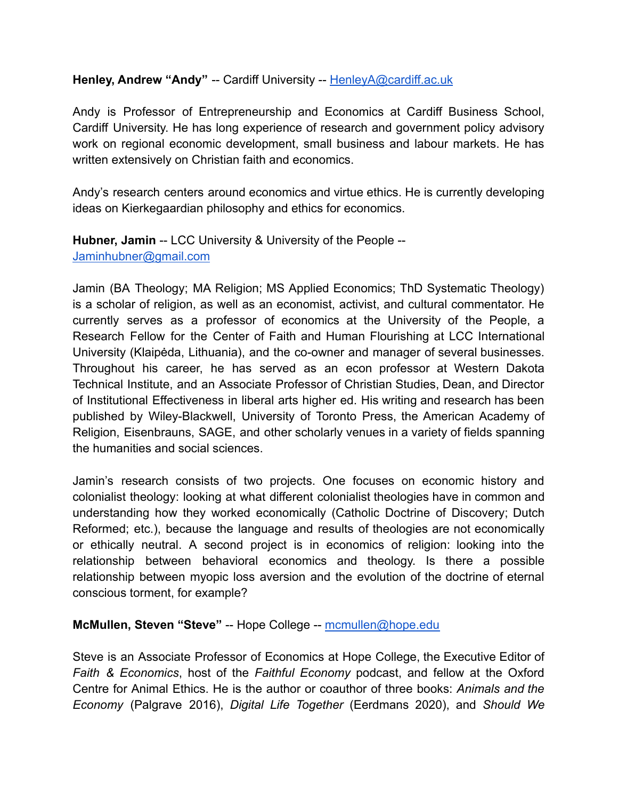#### Henley, Andrew "Andy" -- Cardiff University -- [HenleyA@cardiff.ac.uk](mailto:HenleyA@cardiff.ac.uk)

Andy is Professor of Entrepreneurship and Economics at Cardiff Business School, Cardiff University. He has long experience of research and government policy advisory work on regional economic development, small business and labour markets. He has written extensively on Christian faith and economics.

Andy's research centers around economics and virtue ethics. He is currently developing ideas on Kierkegaardian philosophy and ethics for economics.

**Hubner, Jamin** -- LCC University & University of the People -- [Jaminhubner@gmail.com](mailto:Jaminhubner@gmail.com)

Jamin (BA Theology; MA Religion; MS Applied Economics; ThD Systematic Theology) is a scholar of religion, as well as an economist, activist, and cultural commentator. He currently serves as a professor of economics at the University of the People, a Research Fellow for the Center of Faith and Human Flourishing at LCC International University (Klaipėda, Lithuania), and the co-owner and manager of several businesses. Throughout his career, he has served as an econ professor at Western Dakota Technical Institute, and an Associate Professor of Christian Studies, Dean, and Director of Institutional Effectiveness in liberal arts higher ed. His writing and research has been published by Wiley-Blackwell, University of Toronto Press, the American Academy of Religion, Eisenbrauns, SAGE, and other scholarly venues in a variety of fields spanning the humanities and social sciences.

Jamin's research consists of two projects. One focuses on economic history and colonialist theology: looking at what different colonialist theologies have in common and understanding how they worked economically (Catholic Doctrine of Discovery; Dutch Reformed; etc.), because the language and results of theologies are not economically or ethically neutral. A second project is in economics of religion: looking into the relationship between behavioral economics and theology. Is there a possible relationship between myopic loss aversion and the evolution of the doctrine of eternal conscious torment, for example?

#### **McMullen, Steven "Steve"** -- Hope College -- [mcmullen@hope.edu](mailto:mcmullen@hope.edu)

Steve is an Associate Professor of Economics at Hope College, the Executive Editor of *Faith & Economics*, host of the *Faithful Economy* podcast, and fellow at the Oxford Centre for Animal Ethics. He is the author or coauthor of three books: *Animals and the Economy* (Palgrave 2016), *Digital Life Together* (Eerdmans 2020), and *Should We*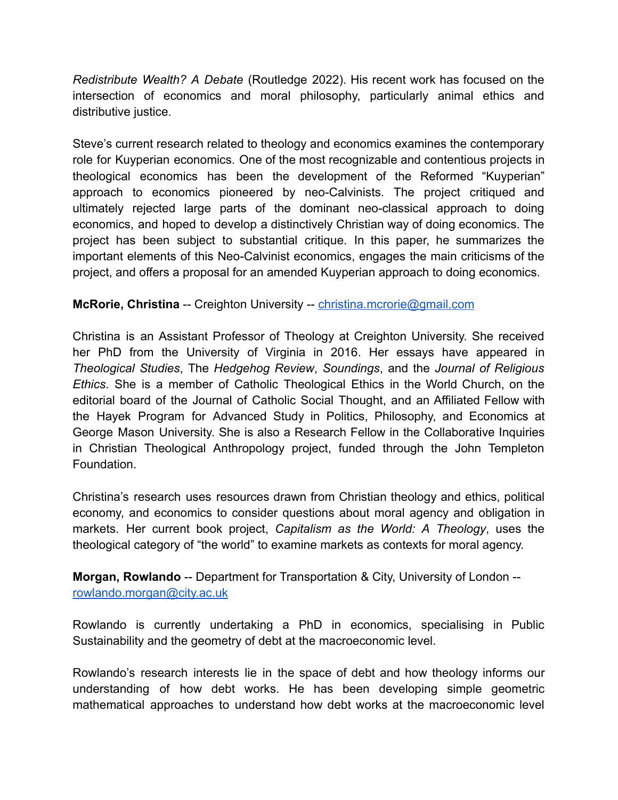*Redistribute Wealth? A Debate* (Routledge 2022). His recent work has focused on the intersection of economics and moral philosophy, particularly animal ethics and distributive justice.

Steve's current research related to theology and economics examines the contemporary role for Kuyperian economics. One of the most recognizable and contentious projects in theological economics has been the development of the Reformed "Kuyperian" approach to economics pioneered by neo-Calvinists. The project critiqued and ultimately rejected large parts of the dominant neo-classical approach to doing economics, and hoped to develop a distinctively Christian way of doing economics. The project has been subject to substantial critique. In this paper, he summarizes the important elements of this Neo-Calvinist economics, engages the main criticisms of the project, and offers a proposal for an amended Kuyperian approach to doing economics.

## **McRorie, Christina** -- Creighton University -- [christina.mcrorie@gmail.com](mailto:christina.mcrorie@gmail.com)

Christina is an Assistant Professor of Theology at Creighton University. She received her PhD from the University of Virginia in 2016. Her essays have appeared in *Theological Studies*, The *Hedgehog Review*, *Soundings*, and the *Journal of Religious Ethics*. She is a member of Catholic Theological Ethics in the World Church, on the editorial board of the Journal of Catholic Social Thought, and an Affiliated Fellow with the Hayek Program for Advanced Study in Politics, Philosophy, and Economics at George Mason University. She is also a Research Fellow in the Collaborative Inquiries in Christian Theological Anthropology project, funded through the John Templeton Foundation.

Christina's research uses resources drawn from Christian theology and ethics, political economy, and economics to consider questions about moral agency and obligation in markets. Her current book project, *Capitalism as the World: A Theology*, uses the theological category of "the world" to examine markets as contexts for moral agency.

**Morgan, Rowlando** -- Department for Transportation & City, University of London - [rowlando.morgan@city.ac.uk](mailto:rowlando.morgan@city.ac.uk)

Rowlando is currently undertaking a PhD in economics, specialising in Public Sustainability and the geometry of debt at the macroeconomic level.

Rowlando's research interests lie in the space of debt and how theology informs our understanding of how debt works. He has been developing simple geometric mathematical approaches to understand how debt works at the macroeconomic level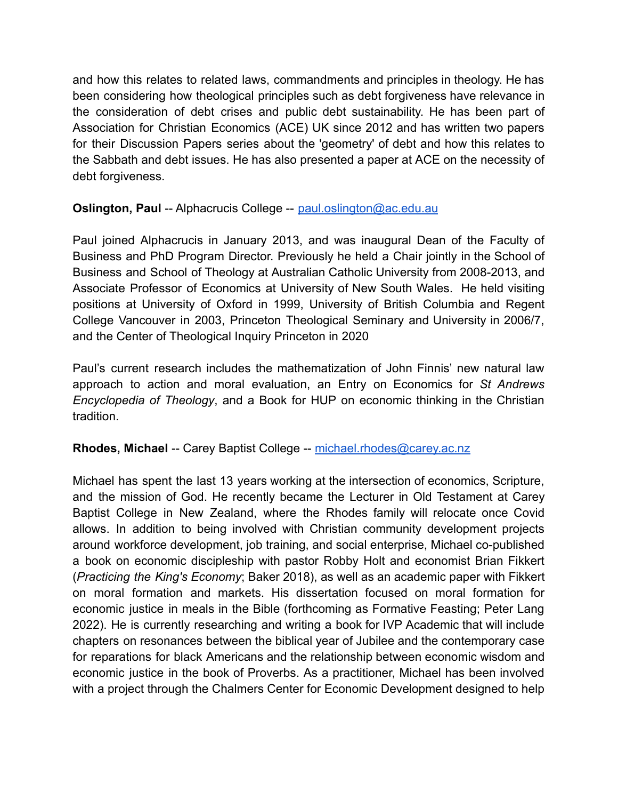and how this relates to related laws, commandments and principles in theology. He has been considering how theological principles such as debt forgiveness have relevance in the consideration of debt crises and public debt sustainability. He has been part of Association for Christian Economics (ACE) UK since 2012 and has written two papers for their Discussion Papers series about the 'geometry' of debt and how this relates to the Sabbath and debt issues. He has also presented a paper at ACE on the necessity of debt forgiveness.

# **Oslington, Paul** -- Alphacrucis College -- [paul.oslington@ac.edu.au](mailto:paul.oslington@ac.edu.au)

Paul joined Alphacrucis in January 2013, and was inaugural Dean of the Faculty of Business and PhD Program Director. Previously he held a Chair jointly in the School of Business and School of Theology at Australian Catholic University from 2008-2013, and Associate Professor of Economics at University of New South Wales. He held visiting positions at University of Oxford in 1999, University of British Columbia and Regent College Vancouver in 2003, Princeton Theological Seminary and University in 2006/7, and the Center of Theological Inquiry Princeton in 2020

Paul's current research includes the mathematization of John Finnis' new natural law approach to action and moral evaluation, an Entry on Economics for *St Andrews Encyclopedia of Theology*, and a Book for HUP on economic thinking in the Christian tradition.

## **Rhodes, Michael** -- Carey Baptist College -- [michael.rhodes@carey.ac.nz](mailto:michael.rhodes@carey.ac.nz)

Michael has spent the last 13 years working at the intersection of economics, Scripture, and the mission of God. He recently became the Lecturer in Old Testament at Carey Baptist College in New Zealand, where the Rhodes family will relocate once Covid allows. In addition to being involved with Christian community development projects around workforce development, job training, and social enterprise, Michael co-published a book on economic discipleship with pastor Robby Holt and economist Brian Fikkert (*Practicing the King's Economy*; Baker 2018), as well as an academic paper with Fikkert on moral formation and markets. His dissertation focused on moral formation for economic justice in meals in the Bible (forthcoming as Formative Feasting; Peter Lang 2022). He is currently researching and writing a book for IVP Academic that will include chapters on resonances between the biblical year of Jubilee and the contemporary case for reparations for black Americans and the relationship between economic wisdom and economic justice in the book of Proverbs. As a practitioner, Michael has been involved with a project through the Chalmers Center for Economic Development designed to help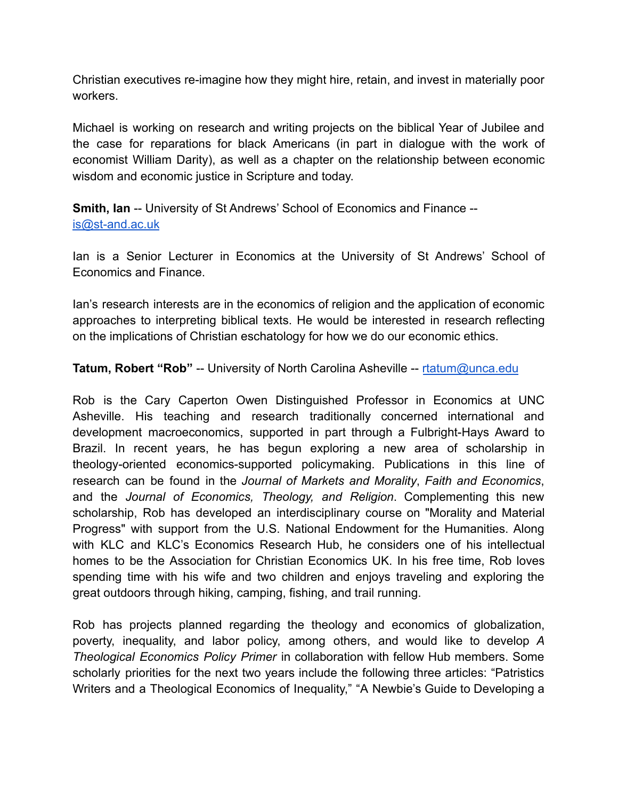Christian executives re-imagine how they might hire, retain, and invest in materially poor workers.

Michael is working on research and writing projects on the biblical Year of Jubilee and the case for reparations for black Americans (in part in dialogue with the work of economist William Darity), as well as a chapter on the relationship between economic wisdom and economic justice in Scripture and today.

**Smith, Ian** -- University of St Andrews' School of Economics and Finance - [is@st-and.ac.uk](mailto:is@st-and.ac.uk)

Ian is a Senior Lecturer in Economics at the University of St Andrews' School of Economics and Finance.

Ian's research interests are in the economics of religion and the application of economic approaches to interpreting biblical texts. He would be interested in research reflecting on the implications of Christian eschatology for how we do our economic ethics.

**Tatum, Robert "Rob"** -- University of North Carolina Asheville -- [rtatum@unca.edu](mailto:rtatum@unca.edu)

Rob is the Cary Caperton Owen Distinguished Professor in Economics at UNC Asheville. His teaching and research traditionally concerned international and development macroeconomics, supported in part through a Fulbright-Hays Award to Brazil. In recent years, he has begun exploring a new area of scholarship in theology-oriented economics-supported policymaking. Publications in this line of research can be found in the *Journal of Markets and Morality*, *Faith and Economics*, and the *Journal of Economics, Theology, and Religion*. Complementing this new scholarship, Rob has developed an interdisciplinary course on "Morality and Material Progress" with support from the U.S. National Endowment for the Humanities. Along with KLC and KLC's Economics Research Hub, he considers one of his intellectual homes to be the Association for Christian Economics UK. In his free time, Rob loves spending time with his wife and two children and enjoys traveling and exploring the great outdoors through hiking, camping, fishing, and trail running.

Rob has projects planned regarding the theology and economics of globalization, poverty, inequality, and labor policy, among others, and would like to develop *A Theological Economics Policy Primer* in collaboration with fellow Hub members. Some scholarly priorities for the next two years include the following three articles: "Patristics Writers and a Theological Economics of Inequality," "A Newbie's Guide to Developing a